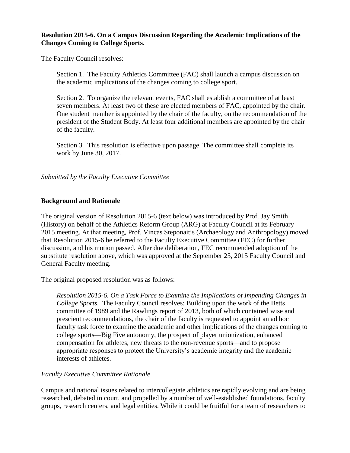## **Resolution 2015-6. On a Campus Discussion Regarding the Academic Implications of the Changes Coming to College Sports.**

The Faculty Council resolves:

Section 1. The Faculty Athletics Committee (FAC) shall launch a campus discussion on the academic implications of the changes coming to college sport.

Section 2. To organize the relevant events, FAC shall establish a committee of at least seven members. At least two of these are elected members of FAC, appointed by the chair. One student member is appointed by the chair of the faculty, on the recommendation of the president of the Student Body. At least four additional members are appointed by the chair of the faculty.

Section 3. This resolution is effective upon passage. The committee shall complete its work by June 30, 2017.

## *Submitted by the Faculty Executive Committee*

## **Background and Rationale**

The original version of Resolution 2015-6 (text below) was introduced by Prof. Jay Smith (History) on behalf of the Athletics Reform Group (ARG) at Faculty Council at its February 2015 meeting. At that meeting, Prof. Vincas Steponaitis (Archaeology and Anthropology) moved that Resolution 2015-6 be referred to the Faculty Executive Committee (FEC) for further discussion, and his motion passed. After due deliberation, FEC recommended adoption of the substitute resolution above, which was approved at the September 25, 2015 Faculty Council and General Faculty meeting.

The original proposed resolution was as follows:

*Resolution 2015-6. On a Task Force to Examine the Implications of Impending Changes in College Sports.* The Faculty Council resolves: Building upon the work of the Betts committee of 1989 and the Rawlings report of 2013, both of which contained wise and prescient recommendations, the chair of the faculty is requested to appoint an ad hoc faculty task force to examine the academic and other implications of the changes coming to college sports—Big Five autonomy, the prospect of player unionization, enhanced compensation for athletes, new threats to the non-revenue sports—and to propose appropriate responses to protect the University's academic integrity and the academic interests of athletes.

## *Faculty Executive Committee Rationale*

Campus and national issues related to intercollegiate athletics are rapidly evolving and are being researched, debated in court, and propelled by a number of well-established foundations, faculty groups, research centers, and legal entities. While it could be fruitful for a team of researchers to